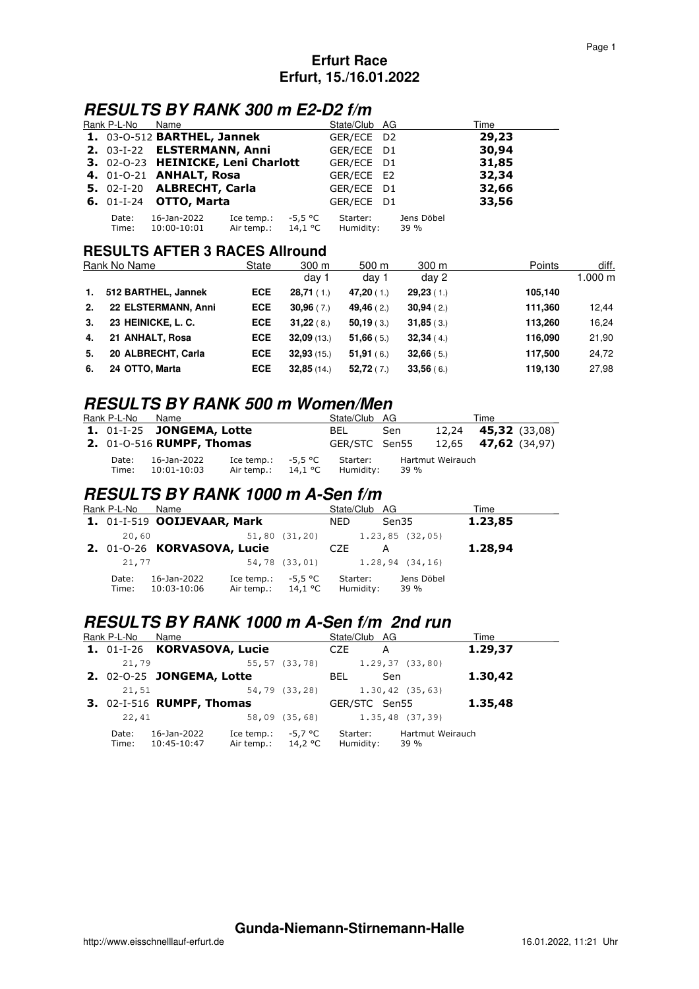### **Erfurt Race Erfurt, 15./16.01.2022**

## **RESULTS BY RANK 300 m E2-D2 f/m**

| Rank P-L-No    | Name                                 |                                            |         | State/Club AG         |                    | Time  |
|----------------|--------------------------------------|--------------------------------------------|---------|-----------------------|--------------------|-------|
|                | 1. 03-0-512 BARTHEL, Jannek          |                                            |         | GER/ECE D2            |                    | 29,23 |
|                | 2. 03-I-22 ELSTERMANN, Anni          |                                            |         | GER/ECE D1            |                    | 30,94 |
|                | 3. 02-0-23 HEINICKE, Leni Charlott   |                                            |         | GER/ECE D1            |                    | 31,85 |
|                | 4. 01-0-21 ANHALT, Rosa              |                                            |         | GER/ECE E2            |                    | 32,34 |
|                | 5. 02-I-20 ALBRECHT, Carla           |                                            |         | GER/ECE D1            |                    | 32,66 |
|                | <b>6.</b> 01-I-24 <b>OTTO, Marta</b> |                                            |         | GER/ECE D1            |                    | 33,56 |
| Date:<br>Time: | 16-Jan-2022<br>10:00-10:01           | Ice temp.:<br>Air temp.: $14.1 \text{ °C}$ | -5.5 °C | Starter:<br>Humidity: | Jens Döbel<br>39 % |       |

#### **RESULTS AFTER 3 RACES Allround**

| Rank No Name |                     | State      | $300 \text{ m}$ | 500 m    | 300 <sub>m</sub> | Points  | diff.   |
|--------------|---------------------|------------|-----------------|----------|------------------|---------|---------|
|              |                     |            | day 1           | day 1    | day 2            |         | 1.000 m |
| 1.           | 512 BARTHEL, Jannek | <b>ECE</b> | 28,71(1)        | 47,20(1) | 29,23(1)         | 105,140 |         |
| 2.           | 22 ELSTERMANN, Anni | <b>ECE</b> | 30.96(7)        | 49,46(2) | 30,94(2)         | 111,360 | 12.44   |
| 3.           | 23 HEINICKE, L. C.  | <b>ECE</b> | 31,22(8)        | 50,19(3) | 31,85(3)         | 113,260 | 16,24   |
| 4.           | 21 ANHALT, Rosa     | <b>ECE</b> | 32,09(13)       | 51,66(5) | 32,34(4)         | 116,090 | 21,90   |
| 5.           | 20 ALBRECHT, Carla  | <b>ECE</b> | 32,93(15)       | 51,91(6) | 32,66(5)         | 117,500 | 24.72   |
| 6.           | 24 OTTO, Marta      | <b>ECE</b> | 32,85(14)       | 52,72(7) | 33,56(6)         | 119,130 | 27,98   |

## **RESULTS BY RANK 500 m Women/Men**

| Rank P-L-No               | Name                                    |                          |                    | State/Club AG         |      |                  | Time                       |  |
|---------------------------|-----------------------------------------|--------------------------|--------------------|-----------------------|------|------------------|----------------------------|--|
|                           | <b>1.</b> 01-I-25 <b>JONGEMA, Lotte</b> |                          |                    | BEL                   | Sen  |                  | 12,24 <b>45,32</b> (33,08) |  |
| 2. 01-0-516 RUMPF, Thomas |                                         |                          |                    | GER/STC Sen55         |      |                  | 12,65 <b>47,62</b> (34,97) |  |
| Date:<br>Time:            | 16-Jan-2022<br>10:01-10:03              | Ice temp.:<br>Air temp.: | -5,5 °C<br>14,1 °C | Starter:<br>Humidity: | 39 % | Hartmut Weirauch |                            |  |

### **RESULTS BY RANK 1000 m A-Sen f/m**

| Rank P-L-No    | Name                        |                                            |               | State/Club AG         |                     | Time    |
|----------------|-----------------------------|--------------------------------------------|---------------|-----------------------|---------------------|---------|
|                | 1. 01-I-519 OOIJEVAAR, Mark |                                            |               | <b>NED</b>            | Sen35               | 1.23,85 |
| 20,60          |                             |                                            | 51,80(31,20)  |                       | $1, 23, 85$ (32,05) |         |
|                | 2. 01-0-26 KORVASOVA, Lucie |                                            |               | <b>CZE</b>            | А                   | 1.28,94 |
| 21,77          |                             |                                            | 54,78 (33,01) |                       | $1.28, 94$ (34,16)  |         |
| Date:<br>Time: | 16-Jan-2022<br>10:03-10:06  | Ice temp.:<br>Air temp.: $14.1 \text{ °C}$ | -5,5 °C       | Starter:<br>Humidity: | Jens Döbel<br>39 %  |         |

# **RESULTS BY RANK 1000 m A-Sen f/m 2nd run**

| Rank P-L-No    | Name                        |                                            |               | State/Club AG         |                          | Time    |
|----------------|-----------------------------|--------------------------------------------|---------------|-----------------------|--------------------------|---------|
|                | 1. 01-I-26 KORVASOVA, Lucie |                                            |               | CZE                   | A                        | 1.29,37 |
| 21,79          |                             |                                            | 55,57 (33,78) |                       | $1.29, 37$ (33,80)       |         |
|                | 2. 02-0-25 JONGEMA, Lotte   |                                            |               | BEL.                  | Sen                      | 1.30,42 |
| 21,51          |                             |                                            | 54,79 (33,28) |                       | $1.30, 42$ (35,63)       |         |
|                | 3. 02-I-516 RUMPF, Thomas   |                                            |               | GER/STC Sen55         |                          | 1.35,48 |
| 22,41          |                             |                                            | 58,09(35,68)  |                       | $1.35,48$ (37,39)        |         |
| Date:<br>Time: | 16-Jan-2022<br>10:45-10:47  | Ice temp.:<br>Air temp.: $14.2 \text{ °C}$ | -5,7 °C       | Starter:<br>Humidity: | Hartmut Weirauch<br>39 % |         |

**Gunda-Niemann-Stirnemann-Halle**